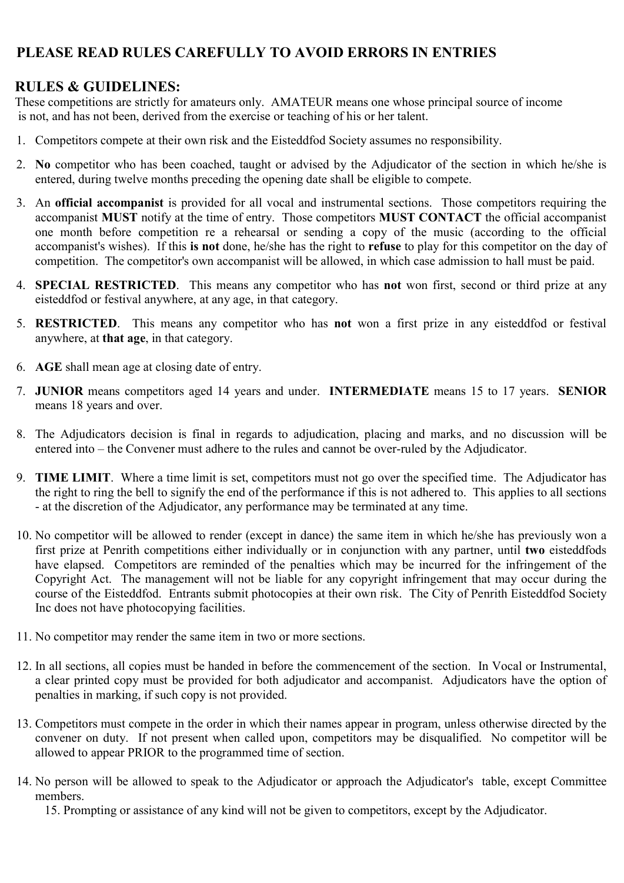## PLEASE READ RULES CAREFULLY TO AVOID ERRORS IN ENTRIES

## RULES & GUIDELINES:

These competitions are strictly for amateurs only. AMATEUR means one whose principal source of income is not, and has not been, derived from the exercise or teaching of his or her talent.

- 1. Competitors compete at their own risk and the Eisteddfod Society assumes no responsibility.
- 2. No competitor who has been coached, taught or advised by the Adjudicator of the section in which he/she is entered, during twelve months preceding the opening date shall be eligible to compete.
- 3. An official accompanist is provided for all vocal and instrumental sections. Those competitors requiring the accompanist MUST notify at the time of entry. Those competitors MUST CONTACT the official accompanist one month before competition re a rehearsal or sending a copy of the music (according to the official accompanist's wishes). If this is not done, he/she has the right to refuse to play for this competitor on the day of competition. The competitor's own accompanist will be allowed, in which case admission to hall must be paid.
- 4. SPECIAL RESTRICTED. This means any competitor who has not won first, second or third prize at any eisteddfod or festival anywhere, at any age, in that category.
- 5. RESTRICTED. This means any competitor who has not won a first prize in any eisteddfod or festival anywhere, at that age, in that category.
- 6. AGE shall mean age at closing date of entry.
- 7. JUNIOR means competitors aged 14 years and under. INTERMEDIATE means 15 to 17 years. SENIOR means 18 years and over.
- 8. The Adjudicators decision is final in regards to adjudication, placing and marks, and no discussion will be entered into – the Convener must adhere to the rules and cannot be over-ruled by the Adjudicator.
- 9. TIME LIMIT. Where a time limit is set, competitors must not go over the specified time. The Adjudicator has the right to ring the bell to signify the end of the performance if this is not adhered to. This applies to all sections - at the discretion of the Adjudicator, any performance may be terminated at any time.
- 10. No competitor will be allowed to render (except in dance) the same item in which he/she has previously won a first prize at Penrith competitions either individually or in conjunction with any partner, until two eisteddfods have elapsed. Competitors are reminded of the penalties which may be incurred for the infringement of the Copyright Act. The management will not be liable for any copyright infringement that may occur during the course of the Eisteddfod. Entrants submit photocopies at their own risk. The City of Penrith Eisteddfod Society Inc does not have photocopying facilities.
- 11. No competitor may render the same item in two or more sections.
- 12. In all sections, all copies must be handed in before the commencement of the section. In Vocal or Instrumental, a clear printed copy must be provided for both adjudicator and accompanist. Adjudicators have the option of penalties in marking, if such copy is not provided.
- 13. Competitors must compete in the order in which their names appear in program, unless otherwise directed by the convener on duty. If not present when called upon, competitors may be disqualified. No competitor will be allowed to appear PRIOR to the programmed time of section.
- 14. No person will be allowed to speak to the Adjudicator or approach the Adjudicator's table, except Committee members.

15. Prompting or assistance of any kind will not be given to competitors, except by the Adjudicator.